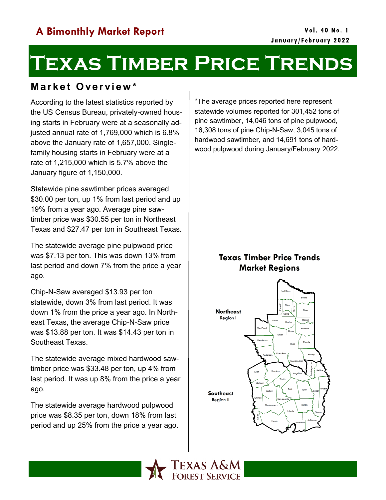# **Texas Timber Price Trends**

# **M a r k e t O ve r vi e w \***

According to the latest statistics reported by the US Census Bureau, privately-owned housing starts in February were at a seasonally adjusted annual rate of 1,769,000 which is 6.8% above the January rate of 1,657,000. Singlefamily housing starts in February were at a rate of 1,215,000 which is 5.7% above the January figure of 1,150,000.

Statewide pine sawtimber prices averaged \$30.00 per ton, up 1% from last period and up 19% from a year ago. Average pine sawtimber price was \$30.55 per ton in Northeast Texas and \$27.47 per ton in Southeast Texas.

The statewide average pine pulpwood price was \$7.13 per ton. This was down 13% from last period and down 7% from the price a year ago.

Chip-N-Saw averaged \$13.93 per ton statewide, down 3% from last period. It was down 1% from the price a year ago. In Northeast Texas, the average Chip-N-Saw price was \$13.88 per ton. It was \$14.43 per ton in Southeast Texas.

The statewide average mixed hardwood sawtimber price was \$33.48 per ton, up 4% from last period. It was up 8% from the price a year ago.

The statewide average hardwood pulpwood price was \$8.35 per ton, down 18% from last period and up 25% from the price a year ago.

\*The average prices reported here represent statewide volumes reported for 301,452 tons of pine sawtimber, 14,046 tons of pine pulpwood, 16,308 tons of pine Chip-N-Saw, 3,045 tons of hardwood sawtimber, and 14,691 tons of hardwood pulpwood during January/February 2022.

## **Texas Timber Price Trends Market Regions**



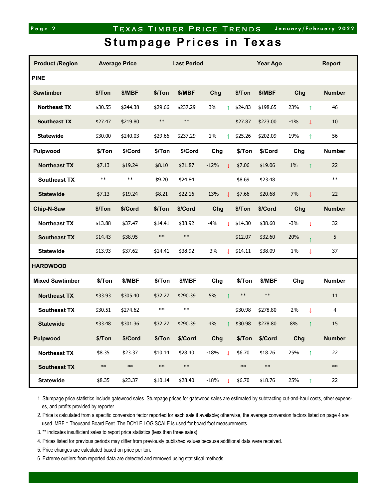### Page 2 **TEXAS TIMBER PRICE TRENDS** January/February 2022

# **Stumpage Prices in Texas**

| <b>Product /Region</b> | <b>Average Price</b> |            |            | <b>Last Period</b> |        |    | <b>Year Ago</b> |            |       |              | <b>Report</b> |
|------------------------|----------------------|------------|------------|--------------------|--------|----|-----------------|------------|-------|--------------|---------------|
| <b>PINE</b>            |                      |            |            |                    |        |    |                 |            |       |              |               |
| <b>Sawtimber</b>       | \$/Ton               | \$/MBF     | \$/Ton     | \$/MBF             | Chg    |    | \$/Ton          | \$/MBF     | Chg   |              | <b>Number</b> |
| <b>Northeast TX</b>    | \$30.55              | \$244.38   | \$29.66    | \$237.29           | 3%     | ↑  | \$24.83         | \$198.65   | 23%   | $\uparrow$   | 46            |
| <b>Southeast TX</b>    | \$27.47              | \$219.80   | $\ast\ast$ | $\ast\ast$         |        |    | \$27.87         | \$223.00   | $-1%$ | $\downarrow$ | 10            |
| <b>Statewide</b>       | \$30.00              | \$240.03   | \$29.66    | \$237.29           | 1%     |    | \$25.26         | \$202.09   | 19%   | $\uparrow$   | 56            |
| Pulpwood               | \$/Ton               | \$/Cord    | \$/Ton     | \$/Cord            | Chg    |    | \$/Ton          | \$/Cord    | Chg   |              | <b>Number</b> |
| <b>Northeast TX</b>    | \$7.13               | \$19.24    | \$8.10     | \$21.87            | $-12%$ | J. | \$7.06          | \$19.06    | 1%    | $\uparrow$   | 22            |
| <b>Southeast TX</b>    | $***$                | $\ast\ast$ | \$9.20     | \$24.84            |        |    | \$8.69          | \$23.48    |       |              | $***$         |
| <b>Statewide</b>       | \$7.13               | \$19.24    | \$8.21     | \$22.16            | $-13%$ | J. | \$7.66          | \$20.68    | $-7%$ | $\downarrow$ | 22            |
| Chip-N-Saw             | \$/Ton               | \$/Cord    | \$/Ton     | \$/Cord            | Chg    |    | \$/Ton          | \$/Cord    | Chg   |              | <b>Number</b> |
| <b>Northeast TX</b>    | \$13.88              | \$37.47    | \$14.41    | \$38.92            | $-4%$  | T  | \$14.30         | \$38.60    | $-3%$ | $\downarrow$ | 32            |
| <b>Southeast TX</b>    | \$14.43              | \$38.95    | $***$      | $***$              |        |    | \$12.07         | \$32.60    | 20%   |              | 5             |
| <b>Statewide</b>       | \$13.93              | \$37.62    | \$14.41    | \$38.92            | $-3%$  | T  | \$14.11         | \$38.09    | $-1%$ | $\downarrow$ | 37            |
| <b>HARDWOOD</b>        |                      |            |            |                    |        |    |                 |            |       |              |               |
| <b>Mixed Sawtimber</b> | \$/Ton               | \$/MBF     | \$/Ton     | \$/MBF             | Chg    |    | \$/Ton          | \$/MBF     | Chg   |              | <b>Number</b> |
| <b>Northeast TX</b>    | \$33.93              | \$305.40   | \$32.27    | \$290.39           | 5%     |    | $***$           | $***$      |       |              | 11            |
| <b>Southeast TX</b>    | \$30.51              | \$274.62   | $***$      | $***$              |        |    | \$30.98         | \$278.80   | $-2%$ | $\downarrow$ | 4             |
| <b>Statewide</b>       | \$33.48              | \$301.36   | \$32.27    | \$290.39           | 4%     |    | \$30.98         | \$278.80   | 8%    | ↑            | 15            |
| Pulpwood               | \$/Ton               | \$/Cord    | \$/Ton     | \$/Cord            | Chg    |    | \$/Ton          | \$/Cord    | Chg   |              | <b>Number</b> |
| <b>Northeast TX</b>    | \$8.35               | \$23.37    | \$10.14    | \$28.40            | $-18%$ | T  | \$6.70          | \$18.76    | 25%   | $\uparrow$   | 22            |
| <b>Southeast TX</b>    | $***$                | $\ast\ast$ | $\ast\ast$ | $\ast\ast$         |        |    | $\ast\ast$      | $\ast\ast$ |       |              | $\ast\ast$    |
| <b>Statewide</b>       | \$8.35               | \$23.37    | \$10.14    | \$28.40            | $-18%$ | T  | \$6.70          | \$18.76    | 25%   | $\uparrow$   | 22            |

1. Stumpage price statistics include gatewood sales. Stumpage prices for gatewood sales are estimated by subtracting cut-and-haul costs, other expenses, and profits provided by reporter.

2. Price is calculated from a specific conversion factor reported for each sale if available; otherwise, the average conversion factors listed on page 4 are used. MBF = Thousand Board Feet. The DOYLE LOG SCALE is used for board foot measurements.

3. \*\* indicates insufficient sales to report price statistics (less than three sales).

4. Prices listed for previous periods may differ from previously published values because additional data were received.

5. Price changes are calculated based on price per ton.

6. Extreme outliers from reported data are detected and removed using statistical methods.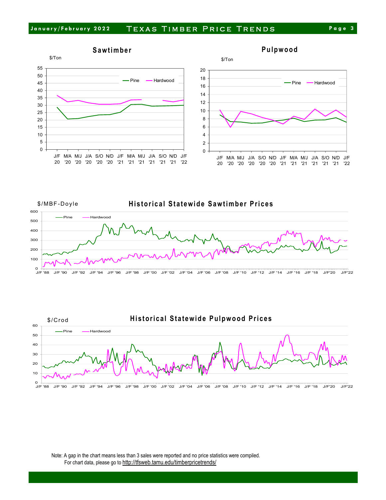







Note: A gap in the chart means less than 3 sales were reported and no price statistics were compiled. For chart data, please go to <http://tfsweb.tamu.edu/timberpricetrends/>